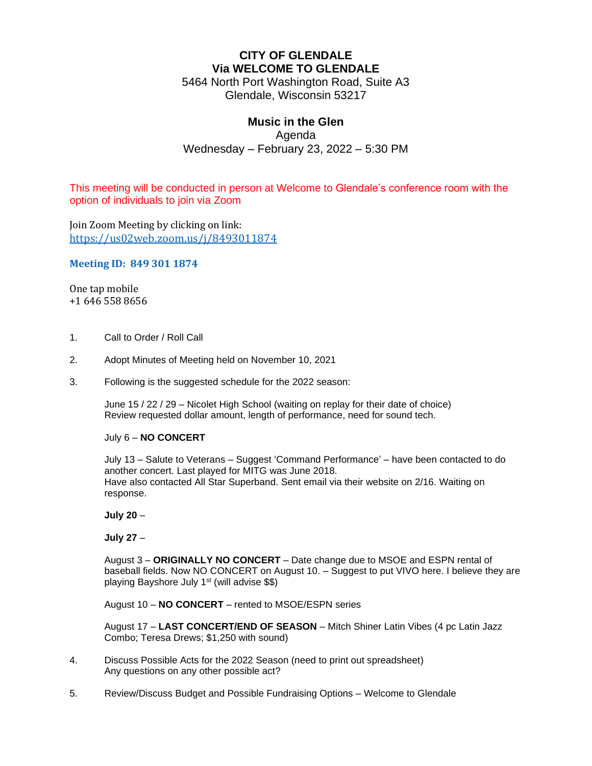# **CITY OF GLENDALE Via WELCOME TO GLENDALE**

5464 North Port Washington Road, Suite A3 Glendale, Wisconsin 53217

#### **Music in the Glen** Agenda

Wednesday – February 23, 2022 – 5:30 PM

This meeting will be conducted in person at Welcome to Glendale's conference room with the option of individuals to join via Zoom

Join Zoom Meeting by clicking on link: <https://us02web.zoom.us/j/8493011874>

#### **Meeting ID: 849 301 1874**

One tap mobile +1 646 558 8656

- 1. Call to Order / Roll Call
- 2. Adopt Minutes of Meeting held on November 10, 2021
- 3. Following is the suggested schedule for the 2022 season:

June 15 / 22 / 29 – Nicolet High School (waiting on replay for their date of choice) Review requested dollar amount, length of performance, need for sound tech.

#### July 6 – **NO CONCERT**

July 13 – Salute to Veterans – Suggest 'Command Performance' – have been contacted to do another concert. Last played for MITG was June 2018. Have also contacted All Star Superband. Sent email via their website on 2/16. Waiting on response.

**July 20** –

**July 27** –

August 3 – **ORIGINALLY NO CONCERT** – Date change due to MSOE and ESPN rental of baseball fields. Now NO CONCERT on August 10. – Suggest to put VIVO here. I believe they are playing Bayshore July 1<sup>st</sup> (will advise \$\$)

August 10 – **NO CONCERT** – rented to MSOE/ESPN series

August 17 – **LAST CONCERT/END OF SEASON** – Mitch Shiner Latin Vibes (4 pc Latin Jazz Combo; Teresa Drews; \$1,250 with sound)

- 4. Discuss Possible Acts for the 2022 Season (need to print out spreadsheet) Any questions on any other possible act?
- 5. Review/Discuss Budget and Possible Fundraising Options Welcome to Glendale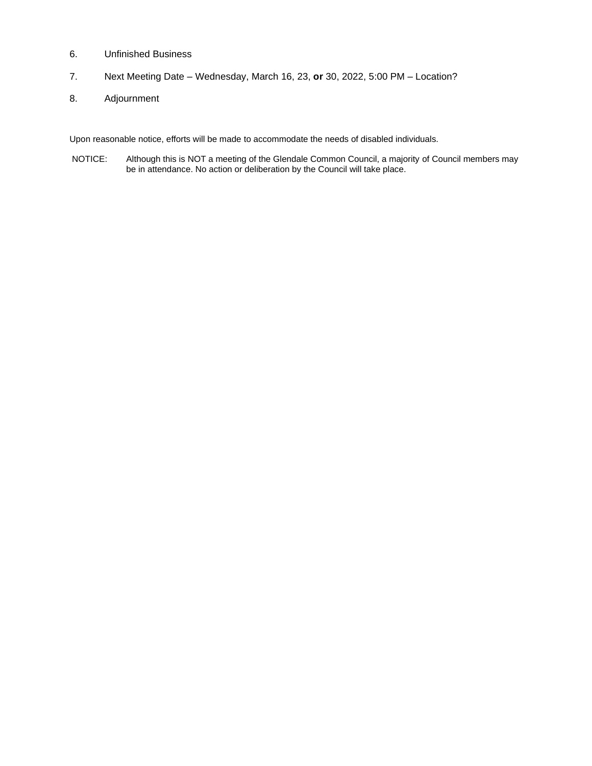- 6. Unfinished Business
- 7. Next Meeting Date Wednesday, March 16, 23, **or** 30, 2022, 5:00 PM Location?
- 8. Adjournment

Upon reasonable notice, efforts will be made to accommodate the needs of disabled individuals.

NOTICE: Although this is NOT a meeting of the Glendale Common Council, a majority of Council members may be in attendance. No action or deliberation by the Council will take place.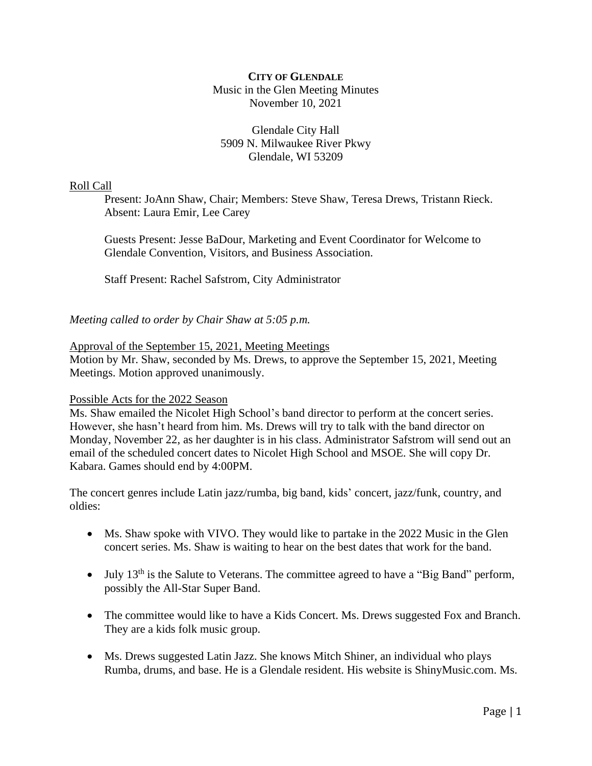# **CITY OF GLENDALE** Music in the Glen Meeting Minutes November 10, 2021

# Glendale City Hall 5909 N. Milwaukee River Pkwy Glendale, WI 53209

# Roll Call

Present: JoAnn Shaw, Chair; Members: Steve Shaw, Teresa Drews, Tristann Rieck. Absent: Laura Emir, Lee Carey

Guests Present: Jesse BaDour, Marketing and Event Coordinator for Welcome to Glendale Convention, Visitors, and Business Association.

Staff Present: Rachel Safstrom, City Administrator

*Meeting called to order by Chair Shaw at 5:05 p.m.*

#### Approval of the September 15, 2021, Meeting Meetings

Motion by Mr. Shaw, seconded by Ms. Drews, to approve the September 15, 2021, Meeting Meetings. Motion approved unanimously.

#### Possible Acts for the 2022 Season

Ms. Shaw emailed the Nicolet High School's band director to perform at the concert series. However, she hasn't heard from him. Ms. Drews will try to talk with the band director on Monday, November 22, as her daughter is in his class. Administrator Safstrom will send out an email of the scheduled concert dates to Nicolet High School and MSOE. She will copy Dr. Kabara. Games should end by 4:00PM.

The concert genres include Latin jazz/rumba, big band, kids' concert, jazz/funk, country, and oldies:

- Ms. Shaw spoke with VIVO. They would like to partake in the 2022 Music in the Glen concert series. Ms. Shaw is waiting to hear on the best dates that work for the band.
- July 13<sup>th</sup> is the Salute to Veterans. The committee agreed to have a "Big Band" perform, possibly the All-Star Super Band.
- The committee would like to have a Kids Concert. Ms. Drews suggested Fox and Branch. They are a kids folk music group.
- Ms. Drews suggested Latin Jazz. She knows Mitch Shiner, an individual who plays Rumba, drums, and base. He is a Glendale resident. His website is ShinyMusic.com. Ms.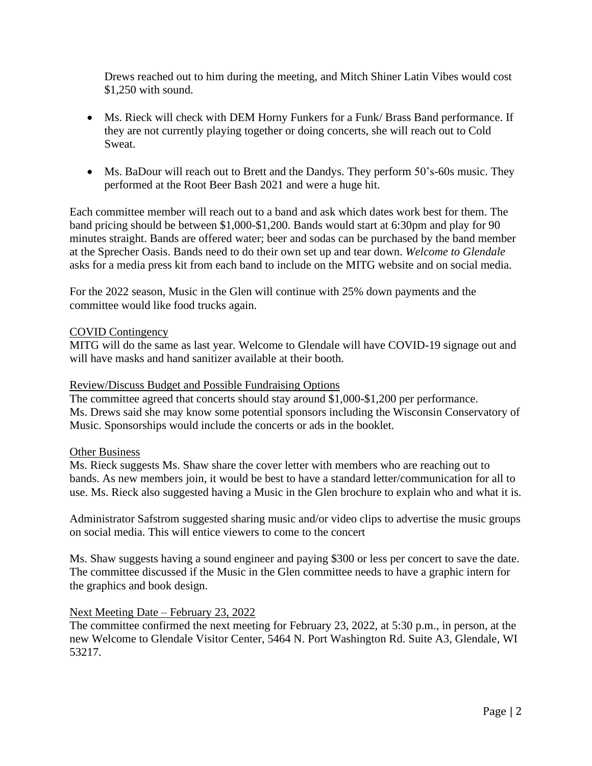Drews reached out to him during the meeting, and Mitch Shiner Latin Vibes would cost \$1,250 with sound.

- Ms. Rieck will check with DEM Horny Funkers for a Funk/ Brass Band performance. If they are not currently playing together or doing concerts, she will reach out to Cold Sweat.
- Ms. BaDour will reach out to Brett and the Dandys. They perform 50's-60s music. They performed at the Root Beer Bash 2021 and were a huge hit.

Each committee member will reach out to a band and ask which dates work best for them. The band pricing should be between \$1,000-\$1,200. Bands would start at 6:30pm and play for 90 minutes straight. Bands are offered water; beer and sodas can be purchased by the band member at the Sprecher Oasis. Bands need to do their own set up and tear down. *Welcome to Glendale* asks for a media press kit from each band to include on the MITG website and on social media.

For the 2022 season, Music in the Glen will continue with 25% down payments and the committee would like food trucks again.

#### COVID Contingency

MITG will do the same as last year. Welcome to Glendale will have COVID-19 signage out and will have masks and hand sanitizer available at their booth.

#### Review/Discuss Budget and Possible Fundraising Options

The committee agreed that concerts should stay around \$1,000-\$1,200 per performance. Ms. Drews said she may know some potential sponsors including the Wisconsin Conservatory of Music. Sponsorships would include the concerts or ads in the booklet.

#### Other Business

Ms. Rieck suggests Ms. Shaw share the cover letter with members who are reaching out to bands. As new members join, it would be best to have a standard letter/communication for all to use. Ms. Rieck also suggested having a Music in the Glen brochure to explain who and what it is.

Administrator Safstrom suggested sharing music and/or video clips to advertise the music groups on social media. This will entice viewers to come to the concert

Ms. Shaw suggests having a sound engineer and paying \$300 or less per concert to save the date. The committee discussed if the Music in the Glen committee needs to have a graphic intern for the graphics and book design.

#### Next Meeting Date – February 23, 2022

The committee confirmed the next meeting for February 23, 2022, at 5:30 p.m., in person, at the new Welcome to Glendale Visitor Center, 5464 N. Port Washington Rd. Suite A3, Glendale, WI 53217.